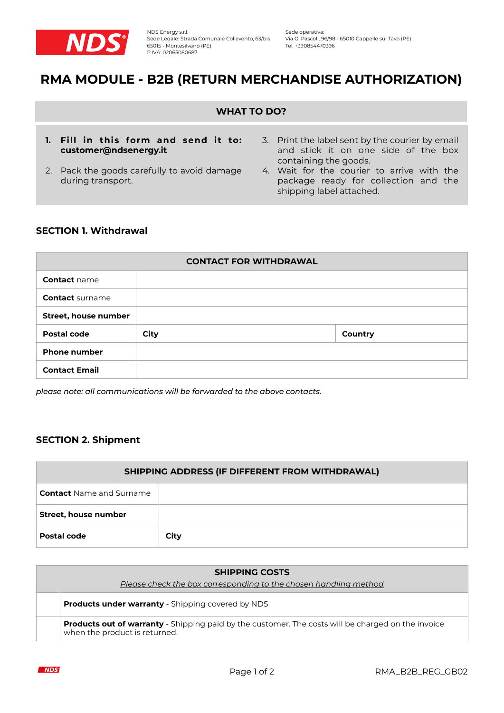

# **RMA MODULE - B2B (RETURN MERCHANDISE AUTHORIZATION)**

### **WHAT TO DO?**

- **1. Fill in this form and send it to: customer@ndsenergy.it**
- 2. Pack the goods carefully to avoid damage during transport.
- 3. Print the label sent by the courier by email and stick it on one side of the box containing the goods.
- 4. Wait for the courier to arrive with the package ready for collection and the shipping label attached.

## **SECTION 1. Withdrawal**

| <b>CONTACT FOR WITHDRAWAL</b> |      |                |  |  |
|-------------------------------|------|----------------|--|--|
| <b>Contact name</b>           |      |                |  |  |
| <b>Contact</b> surname        |      |                |  |  |
| Street, house number          |      |                |  |  |
| <b>Postal code</b>            | City | <b>Country</b> |  |  |
| <b>Phone number</b>           |      |                |  |  |
| <b>Contact Email</b>          |      |                |  |  |

*please note: all communications will be forwarded to the above contacts.*

## **SECTION 2. Shipment**

| SHIPPING ADDRESS (IF DIFFERENT FROM WITHDRAWAL) |      |  |  |
|-------------------------------------------------|------|--|--|
| <b>Contact</b> Name and Surname                 |      |  |  |
| Street, house number                            |      |  |  |
| Postal code                                     | City |  |  |

| <b>SHIPPING COSTS</b><br>Please check the box corresponding to the chosen handling method                                                  |  |  |
|--------------------------------------------------------------------------------------------------------------------------------------------|--|--|
| <b>Products under warranty</b> - Shipping covered by NDS                                                                                   |  |  |
| <b>Products out of warranty</b> - Shipping paid by the customer. The costs will be charged on the invoice<br>when the product is returned. |  |  |

**NDS**